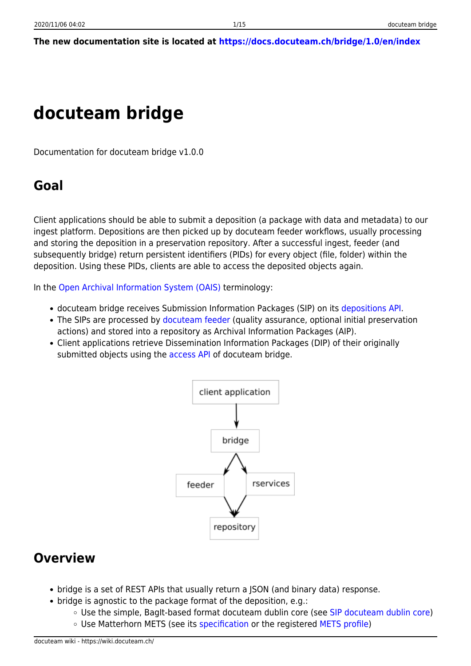### **The new documentation site is located at <https://docs.docuteam.ch/bridge/1.0/en/index>**

# **docuteam bridge**

Documentation for docuteam bridge v1.0.0

## **Goal**

Client applications should be able to submit a deposition (a package with data and metadata) to our ingest platform. Depositions are then picked up by docuteam feeder workflows, usually processing and storing the deposition in a preservation repository. After a successful ingest, feeder (and subsequently bridge) return persistent identifiers (PIDs) for every object (file, folder) within the deposition. Using these PIDs, clients are able to access the deposited objects again.

In the [Open Archival Information System \(OAIS\)](https://en.wikipedia.org/wiki/Open_Archival_Information_System) terminology:

- docuteam bridge receives Submission Information Packages (SIP) on its [depositions API](#page-2-0).
- The SIPs are processed by [docuteam feeder](https://wiki.docuteam.ch/doku.php?id=docuteam:feeder) (quality assurance, optional initial preservation actions) and stored into a repository as Archival Information Packages (AIP).
- Client applications retrieve Dissemination Information Packages (DIP) of their originally submitted objects using the [access API](#page-6-0) of docuteam bridge.



## **Overview**

- bridge is a set of REST APIs that usually return a JSON (and binary data) response.
- $\bullet$  bridge is agnostic to the package format of the deposition, e.g.:
	- Use the simple, BagIt-based format docuteam dublin core (see [SIP docuteam dublin core\)](https://wiki.docuteam.ch/doku.php?id=docuteam:sip_dc_public_documentation)
	- Use Matterhorn METS (see its [specification](https://wiki.docuteam.ch/doku.php?id=media_oais:spezifikation_matterhorn-mets_20160830_wi.pdf) or the registered [METS profile\)](http://www.loc.gov/standards/mets/profiles/00000041.xml)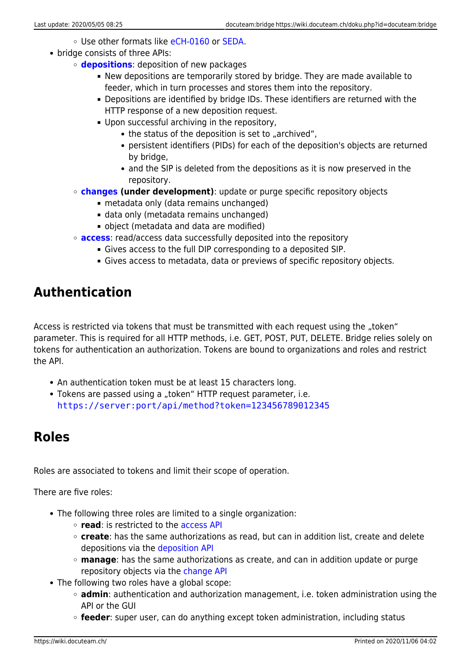- Use other formats like [eCH-0160](https://www.ech.ch/de/standards/39187) or [SEDA](https://redirect.francearchives.fr/seda/).
- bridge consists of three APIs:
	- **[depositions](#page-2-0)**: deposition of new packages
		- New depositions are temporarily stored by bridge. They are made available to feeder, which in turn processes and stores them into the repository.
		- Depositions are identified by bridge IDs. These identifiers are returned with the HTTP response of a new deposition request.
		- Upon successful archiving in the repository,
			- $\bullet$  the status of the deposition is set to "archived",
			- persistent identifiers (PIDs) for each of the deposition's objects are returned by bridge,
			- and the SIP is deleted from the depositions as it is now preserved in the repository.
	- **[changes](#page--1-0) (under development)**: update or purge specific repository objects
		- metadata only (data remains unchanged)
		- data only (metadata remains unchanged)
		- object (metadata and data are modified)
	- **[access](#page-6-0)**: read/access data successfully deposited into the repository
		- Gives access to the full DIP corresponding to a deposited SIP.
		- Gives access to metadata, data or previews of specific repository objects.

## **Authentication**

Access is restricted via tokens that must be transmitted with each request using the "token" parameter. This is required for all HTTP methods, i.e. GET, POST, PUT, DELETE. Bridge relies solely on tokens for authentication an authorization. Tokens are bound to organizations and roles and restrict the API.

- An authentication token must be at least 15 characters long.
- Tokens are passed using a "token" HTTP request parameter, i.e. [https://server:port/api/method?token=123456789012345](#page--1-0)

## **Roles**

Roles are associated to tokens and limit their scope of operation.

There are five roles:

- The following three roles are limited to a single organization:
	- **read**: is restricted to the [access API](#page-6-0)
	- **create**: has the same authorizations as read, but can in addition list, create and delete depositions via the [deposition API](#page-2-0)
	- **manage**: has the same authorizations as create, and can in addition update or purge repository objects via the [change API](#page--1-0)
- The following two roles have a global scope:
	- **admin**: authentication and authorization management, i.e. token administration using the API or the GUI
	- **feeder**: super user, can do anything except token administration, including status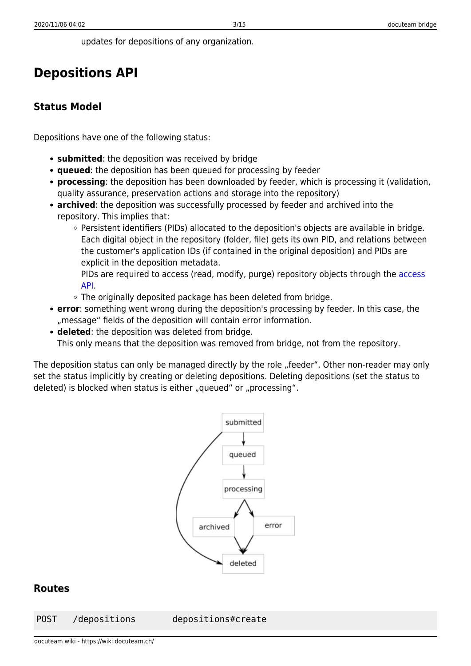updates for depositions of any organization.

## <span id="page-2-0"></span>**Depositions API**

### **Status Model**

Depositions have one of the following status:

- **submitted**: the deposition was received by bridge
- **queued**: the deposition has been queued for processing by feeder
- **processing**: the deposition has been downloaded by feeder, which is processing it (validation, quality assurance, preservation actions and storage into the repository)
- **archived**: the deposition was successfully processed by feeder and archived into the repository. This implies that:
	- Persistent identifiers (PIDs) allocated to the deposition's objects are available in bridge. Each digital object in the repository (folder, file) gets its own PID, and relations between the customer's application IDs (if contained in the original deposition) and PIDs are explicit in the deposition metadata.
		- PIDs are required to [access](#page-6-0) (read, modify, purge) repository objects through the access [API](#page-6-0).
	- The originally deposited package has been deleted from bridge.
- **error**: something went wrong during the deposition's processing by feeder. In this case, the "message" fields of the deposition will contain error information.
- **deleted**: the deposition was deleted from bridge. This only means that the deposition was removed from bridge, not from the repository.

The deposition status can only be managed directly by the role "feeder". Other non-reader may only set the status implicitly by creating or deleting depositions. Deleting depositions (set the status to deleted) is blocked when status is either "queued" or "processing".



### **Routes**

POST /depositions depositions#create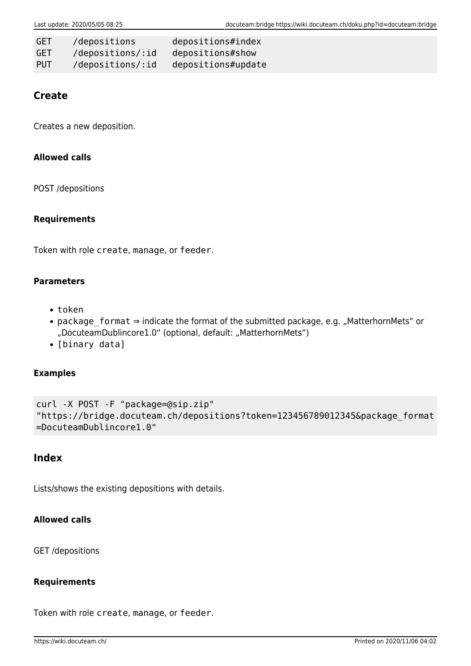| GET        | /depositions     | depositions#index  |
|------------|------------------|--------------------|
| GET        | /depositions/:id | depositions#show   |
| <b>PUT</b> | /depositions/:id | depositions#update |

### **Create**

Creates a new deposition.

### **Allowed calls**

POST /depositions

#### **Requirements**

Token with role create, manage, or feeder.

#### **Parameters**

- token
- package format ⇒ indicate the format of the submitted package, e.g. "MatterhornMets" or "DocuteamDublincore1.0" (optional, default: "MatterhornMets")
- [binary data]

#### **Examples**

```
curl -X POST -F "package=@sip.zip"
"https://bridge.docuteam.ch/depositions?token=123456789012345&package_format
=DocuteamDublincore1.0"
```
### **Index**

Lists/shows the existing depositions with details.

### **Allowed calls**

GET /depositions

### **Requirements**

Token with role create, manage, or feeder.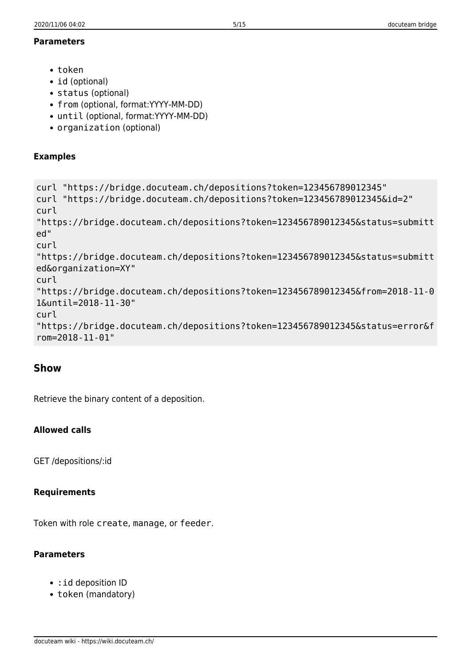#### **Parameters**

- token
- id (optional)
- status (optional)
- from (optional, format:YYYY-MM-DD)
- until (optional, format:YYYY-MM-DD)
- organization (optional)

### **Examples**

```
curl "https://bridge.docuteam.ch/depositions?token=123456789012345"
curl "https://bridge.docuteam.ch/depositions?token=123456789012345&id=2"
curl
"https://bridge.docuteam.ch/depositions?token=123456789012345&status=submitt
ed"
curl
"https://bridge.docuteam.ch/depositions?token=123456789012345&status=submitt
ed&organization=XY"
curl
"https://bridge.docuteam.ch/depositions?token=123456789012345&from=2018-11-0
1&until=2018-11-30"
curl
"https://bridge.docuteam.ch/depositions?token=123456789012345&status=error&f
rom=2018-11-01"
```
### **Show**

Retrieve the binary content of a deposition.

### **Allowed calls**

GET /depositions/:id

### **Requirements**

Token with role create, manage, or feeder.

### **Parameters**

- : id deposition ID
- token (mandatory)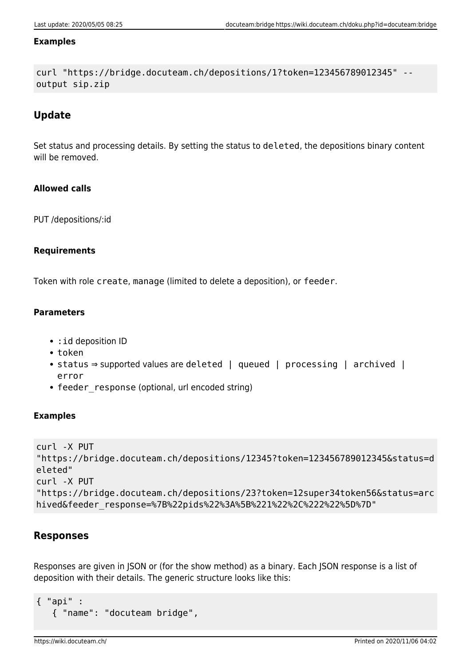#### **Examples**

```
curl "https://bridge.docuteam.ch/depositions/1?token=123456789012345" --
output sip.zip
```
### **Update**

Set status and processing details. By setting the status to deleted, the depositions binary content will be removed.

### **Allowed calls**

PUT /depositions/:id

### **Requirements**

Token with role create, manage (limited to delete a deposition), or feeder.

### **Parameters**

- : id deposition ID
- token
- status ⇒ supported values are deleted | queued | processing | archived | error
- feeder response (optional, url encoded string)

### **Examples**

```
curl -X PUT
"https://bridge.docuteam.ch/depositions/12345?token=123456789012345&status=d
eleted"
curl -X PUT
"https://bridge.docuteam.ch/depositions/23?token=12super34token56&status=arc
hived&feeder_response=%7B%22pids%22%3A%5B%221%22%2C%222%22%5D%7D"
```
### **Responses**

Responses are given in JSON or (for the show method) as a binary. Each JSON response is a list of deposition with their details. The generic structure looks like this:

```
{ "api" :
    { "name": "docuteam bridge",
```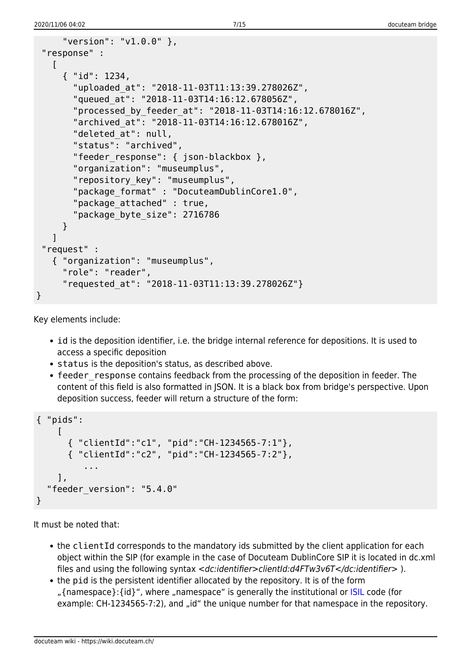```
 "version": "v1.0.0" },
  "response" :
   \lceil { "id": 1234,
        "uploaded_at": "2018-11-03T11:13:39.278026Z",
        "queued_at": "2018-11-03T14:16:12.678056Z",
        "processed_by_feeder_at": "2018-11-03T14:16:12.678016Z",
        "archived_at": "2018-11-03T14:16:12.678016Z",
        "deleted_at": null,
        "status": "archived",
       "feeder response": { json-blackbox },
        "organization": "museumplus",
        "repository_key": "museumplus",
        "package_format" : "DocuteamDublinCore1.0",
       "package attached" : true,
        "package_byte_size": 2716786
      }
    ]
  "request" :
    { "organization": "museumplus",
      "role": "reader",
      "requested_at": "2018-11-03T11:13:39.278026Z"}
}
```
Key elements include:

- id is the deposition identifier, i.e. the bridge internal reference for depositions. It is used to access a specific deposition
- status is the deposition's status, as described above.
- feeder response contains feedback from the processing of the deposition in feeder. The content of this field is also formatted in JSON. It is a black box from bridge's perspective. Upon deposition success, feeder will return a structure of the form:

```
{ "pids":
    \Gamma { "clientId":"c1", "pid":"CH-1234565-7:1"},
       { "clientId":"c2", "pid":"CH-1234565-7:2"},
           ...
     ],
   "feeder_version": "5.4.0"
}
```
It must be noted that:

- the clientId corresponds to the mandatory ids submitted by the client application for each object within the SIP (for example in the case of Docuteam DublinCore SIP it is located in dc.xml files and using the following syntax <dc:identifier>clientId:d4FTw3v6T</dc:identifier> ).
- <span id="page-6-0"></span>the pid is the persistent identifier allocated by the repository. It is of the form "{namespace}: {id}", where "namespace" is generally the institutional or [ISIL](https://www.nb.admin.ch/snl/en/home/information-professionals/isil.html) code (for example: CH-1234565-7:2), and "id" the unique number for that namespace in the repository.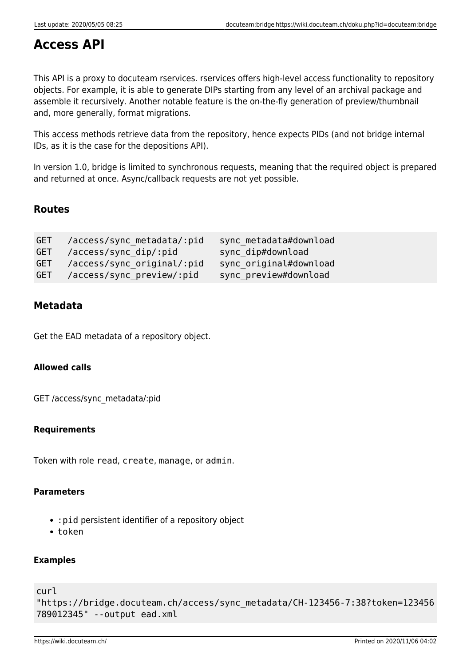## **Access API**

This API is a proxy to docuteam rservices. rservices offers high-level access functionality to repository objects. For example, it is able to generate DIPs starting from any level of an archival package and assemble it recursively. Another notable feature is the on-the-fly generation of preview/thumbnail and, more generally, format migrations.

This access methods retrieve data from the repository, hence expects PIDs (and not bridge internal IDs, as it is the case for the depositions API).

In version 1.0, bridge is limited to synchronous requests, meaning that the required object is prepared and returned at once. Async/callback requests are not yet possible.

### **Routes**

| GET /access/sync_metadata/:pid | sync metadata#download |
|--------------------------------|------------------------|
| GET /access/sync dip/:pid      | sync dip#download      |
| GET /access/sync original/:pid | sync original#download |
| GET /access/sync preview/:pid  | sync preview#download  |

### **Metadata**

Get the EAD metadata of a repository object.

### **Allowed calls**

GET /access/sync\_metadata/:pid

### **Requirements**

Token with role read, create, manage, or admin.

### **Parameters**

- :pid persistent identifier of a repository object
- token

### **Examples**

```
curl
```

```
"https://bridge.docuteam.ch/access/sync_metadata/CH-123456-7:38?token=123456
789012345" --output ead.xml
```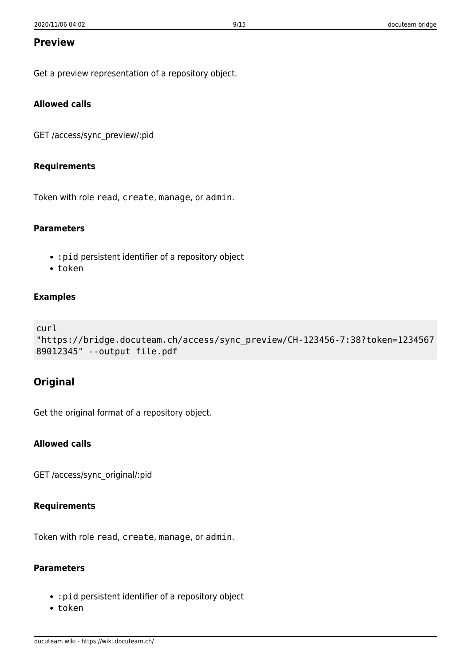### **Preview**

Get a preview representation of a repository object.

### **Allowed calls**

GET /access/sync\_preview/:pid

#### **Requirements**

Token with role read, create, manage, or admin.

#### **Parameters**

- :pid persistent identifier of a repository object
- token

#### **Examples**

```
curl
"https://bridge.docuteam.ch/access/sync_preview/CH-123456-7:38?token=1234567
89012345" --output file.pdf
```
### **Original**

Get the original format of a repository object.

#### **Allowed calls**

GET /access/sync\_original/:pid

#### **Requirements**

Token with role read, create, manage, or admin.

### **Parameters**

- :pid persistent identifier of a repository object
- token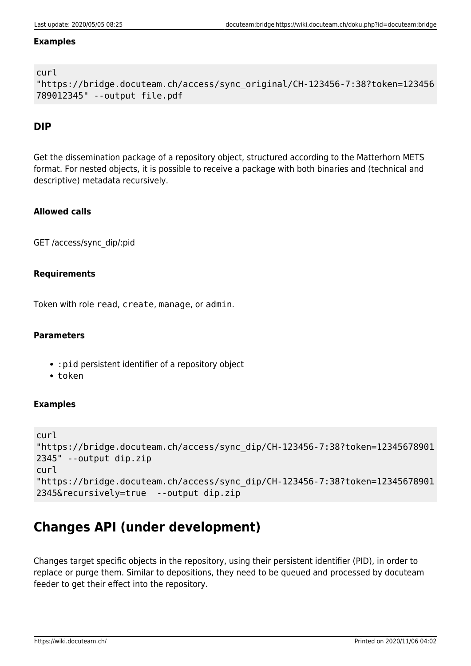#### **Examples**

### curl

```
"https://bridge.docuteam.ch/access/sync_original/CH-123456-7:38?token=123456
789012345" --output file.pdf
```
### **DIP**

Get the dissemination package of a repository object, structured according to the Matterhorn METS format. For nested objects, it is possible to receive a package with both binaries and (technical and descriptive) metadata recursively.

### **Allowed calls**

GET /access/sync\_dip/:pid

### **Requirements**

Token with role read, create, manage, or admin.

### **Parameters**

- :pid persistent identifier of a repository object
- token

### **Examples**

```
curl
"https://bridge.docuteam.ch/access/sync_dip/CH-123456-7:38?token=12345678901
2345" --output dip.zip
curl
"https://bridge.docuteam.ch/access/sync_dip/CH-123456-7:38?token=12345678901
2345&recursively=true --output dip.zip
```
## **Changes API (under development)**

Changes target specific objects in the repository, using their persistent identifier (PID), in order to replace or purge them. Similar to depositions, they need to be queued and processed by docuteam feeder to get their effect into the repository.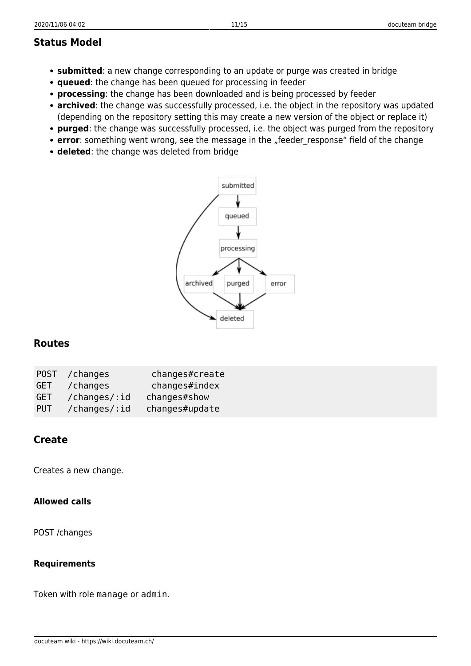### **Status Model**

- **submitted**: a new change corresponding to an update or purge was created in bridge
- **queued**: the change has been queued for processing in feeder
- **processing**: the change has been downloaded and is being processed by feeder
- **archived**: the change was successfully processed, i.e. the object in the repository was updated (depending on the repository setting this may create a new version of the object or replace it)
- **purged**: the change was successfully processed, i.e. the object was purged from the repository
- error: something went wrong, see the message in the "feeder\_response" field of the change
- **deleted**: the change was deleted from bridge



### **Routes**

| GET        | POST / changes<br>/changes | changes#create<br>changes#index |
|------------|----------------------------|---------------------------------|
| GET        | /changes/:id               | changes#show                    |
| <b>PUT</b> | /changes/:id               | changes#update                  |

### **Create**

Creates a new change.

#### **Allowed calls**

POST /changes

#### **Requirements**

Token with role manage or admin.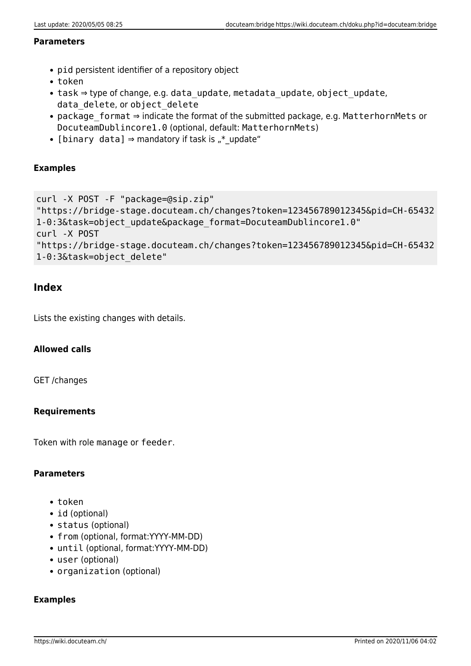#### **Parameters**

- pid persistent identifier of a repository object
- token
- task ⇒ type of change, e.g. data update, metadata update, object update, data delete, or object delete
- package format ⇒ indicate the format of the submitted package, e.g. MatterhornMets or DocuteamDublincore1.0 (optional, default: MatterhornMets)
- [binary data]  $\Rightarrow$  mandatory if task is  $\pi^*$  update"

#### **Examples**

```
curl -X POST -F "package=@sip.zip"
"https://bridge-stage.docuteam.ch/changes?token=123456789012345&pid=CH-65432
1-0:3&task=object_update&package_format=DocuteamDublincore1.0"
curl -X POST
"https://bridge-stage.docuteam.ch/changes?token=123456789012345&pid=CH-65432
1-0:3&task=object_delete"
```
### **Index**

Lists the existing changes with details.

### **Allowed calls**

GET /changes

### **Requirements**

Token with role manage or feeder.

#### **Parameters**

- token
- id (optional)
- status (optional)
- from (optional, format:YYYY-MM-DD)
- until (optional, format:YYYY-MM-DD)
- user (optional)
- organization (optional)

#### **Examples**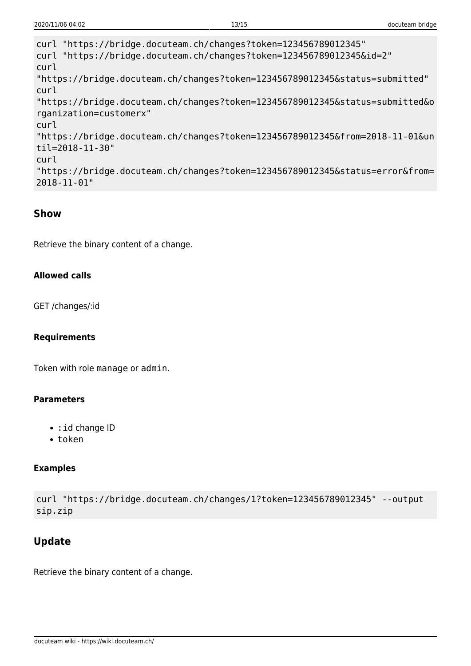```
curl "https://bridge.docuteam.ch/changes?token=123456789012345"
curl "https://bridge.docuteam.ch/changes?token=123456789012345&id=2"
curl
"https://bridge.docuteam.ch/changes?token=123456789012345&status=submitted"
curl
"https://bridge.docuteam.ch/changes?token=123456789012345&status=submitted&o
rganization=customerx"
curl
"https://bridge.docuteam.ch/changes?token=123456789012345&from=2018-11-01&un
til=2018-11-30"
curl
"https://bridge.docuteam.ch/changes?token=123456789012345&status=error&from=
2018-11-01"
```
### **Show**

Retrieve the binary content of a change.

### **Allowed calls**

GET /changes/:id

#### **Requirements**

Token with role manage or admin.

#### **Parameters**

- : id change ID
- $\cdot$  token

### **Examples**

```
curl "https://bridge.docuteam.ch/changes/1?token=123456789012345" --output
sip.zip
```
### **Update**

Retrieve the binary content of a change.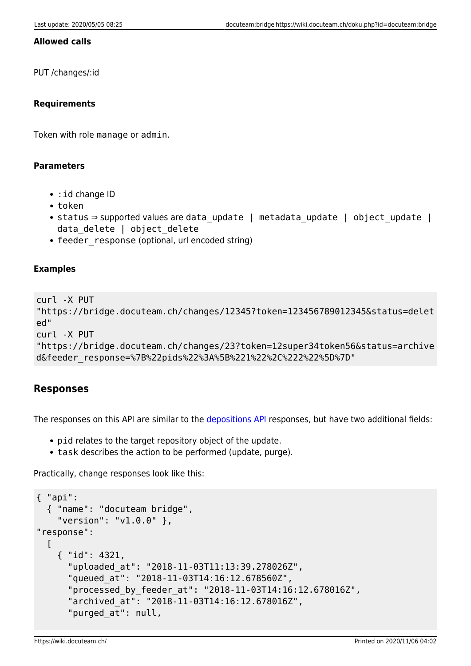#### **Allowed calls**

PUT /changes/:id

### **Requirements**

Token with role manage or admin.

#### **Parameters**

- : id change ID
- token
- status ⇒ supported values are data update | metadata update | object update | data delete | object delete
- feeder\_response (optional, url encoded string)

#### **Examples**

```
curl -X PUT
"https://bridge.docuteam.ch/changes/12345?token=123456789012345&status=delet
ed"
curl -X PUT
"https://bridge.docuteam.ch/changes/23?token=12super34token56&status=archive
d&feeder_response=%7B%22pids%22%3A%5B%221%22%2C%222%22%5D%7D"
```
### **Responses**

The responses on this API are similar to the [depositions API](#page-2-0) responses, but have two additional fields:

- pid relates to the target repository object of the update.
- task describes the action to be performed (update, purge).

Practically, change responses look like this:

```
{ "api":
   { "name": "docuteam bridge",
     "version": "v1.0.0" },
"response":
  \lceil { "id": 4321,
       "uploaded_at": "2018-11-03T11:13:39.278026Z",
       "queued_at": "2018-11-03T14:16:12.678560Z",
       "processed_by_feeder_at": "2018-11-03T14:16:12.678016Z",
       "archived_at": "2018-11-03T14:16:12.678016Z",
      "purged at": null,
```